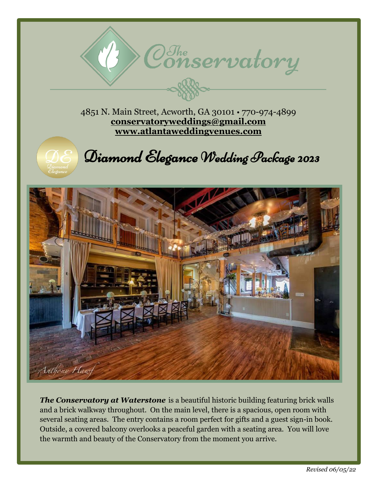4851 N. Main Street, Acworth, GA 30101 • 770-974-4899 **[conservatoryweddings@gmail.com](mailto:conservatoryweddings@gmail.com) [www.atlantaweddingvenues.com](http://www.atlantaweddingvenues.com/)**



Diamond Elegance Wedding Package 2023

 $\mathcal{C}^{\mathcal{J}_{he}}$ onservatory



*The Conservatory at Waterstone* is a beautiful historic building featuring brick walls and a brick walkway throughout. On the main level, there is a spacious, open room with several seating areas. The entry contains a room perfect for gifts and a guest sign-in book. Outside, a covered balcony overlooks a peaceful garden with a seating area. You will love the warmth and beauty of the Conservatory from the moment you arrive.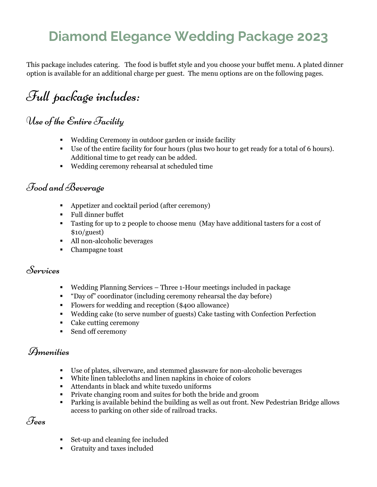## **Diamond Elegance Wedding Package 2023**

This package includes catering. The food is buffet style and you choose your buffet menu. A plated dinner option is available for an additional charge per guest. The menu options are on the following pages.

# Full package includes:

## Use of the Entire Facility

- Wedding Ceremony in outdoor garden or inside facility
- Use of the entire facility for four hours (plus two hour to get ready for a total of 6 hours). Additional time to get ready can be added.
- Wedding ceremony rehearsal at scheduled time

### Food and Beverage

- Appetizer and cocktail period (after ceremony)
- Full dinner buffet
- Tasting for up to 2 people to choose menu (May have additional tasters for a cost of  $$10/guest)$
- All non-alcoholic beverages
- Champagne toast

### Services

- Wedding Planning Services Three 1-Hour meetings included in package
- "Day of" coordinator (including ceremony rehearsal the day before)
- Flowers for wedding and reception (\$400 allowance)
- Wedding cake (to serve number of guests) Cake tasting with Confection Perfection
- Cake cutting ceremony
- Send off ceremony

### Amenities

- Use of plates, silverware, and stemmed glassware for non-alcoholic beverages
- White linen tablecloths and linen napkins in choice of colors
- Attendants in black and white tuxedo uniforms
- **Private changing room and suites for both the bride and groom**
- Parking is available behind the building as well as out front. New Pedestrian Bridge allows access to parking on other side of railroad tracks.

Fees

- Set-up and cleaning fee included
- Gratuity and taxes included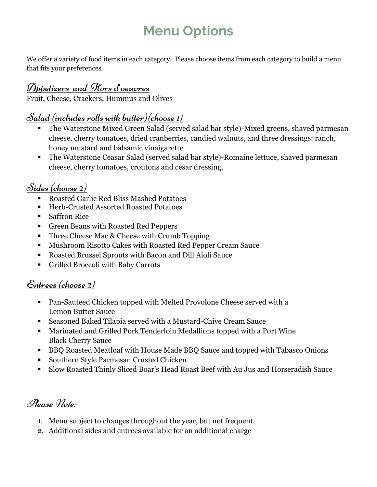# **Menu Options**

We offer a variety of food items in each category. Please choose items from each category to build a menu that fits your preferences.

## Appetizers and Hors d'oeuvres

Fruit, Cheese, Crackers, Hummus and Olives

## Salad (includes rolls with butter)(choose 1)

- The Waterstone Mixed Green Salad (served salad bar style)-Mixed greens, shaved parmesan cheese, cherry tomatoes, dried cranberries, candied walnuts, and three dressings: ranch, honey mustard and balsamic vinaigarette
- The Waterstone Ceasar Salad (served salad bar style)-Romaine lettuce, shaved parmesan cheese, cherry tomatoes, croutons and cesar dressing.

## Sides (choose 2)

- Roasted Garlic Red Bliss Mashed Potatoes
- Herb-Crusted Assorted Roasted Potatoes
- Saffron Rice
- Green Beans with Roasted Red Peppers
- **Three Cheese Mac & Cheese with Crumb Topping**
- Mushroom Risotto Cakes with Roasted Red Pepper Cream Sauce
- Roasted Brussel Sprouts with Bacon and Dill Aioli Sauce
- Grilled Broccoli with Baby Carrots

## Entrees (choose 2)

- Pan-Sauteed Chicken topped with Melted Provolone Cheese served with a Lemon Butter Sauce
- Seasoned Baked Tilapia served with a Mustard-Chive Cream Sauce
- Marinated and Grilled Pork Tenderloin Medallions topped with a Port Wine Black Cherry Sauce
- BBQ Roasted Meatloaf with House Made BBQ Sauce and topped with Tabasco Onions
- Southern Style Parmesan Crusted Chicken
- Slow Roasted Thinly Sliced Boar's Head Roast Beef with Au Jus and Horseradish Sauce

## Please Note:

- 1. Menu subject to changes throughout the year, but not frequent
- 2. Additional sides and entrees available for an additional charge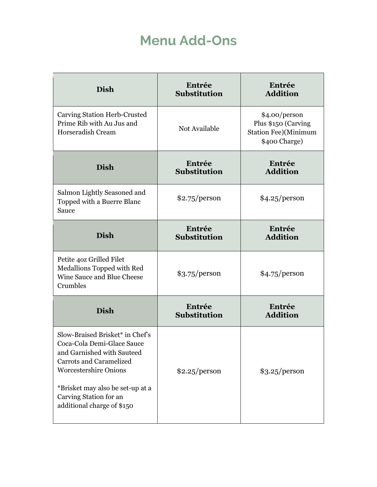## **Menu Add-Ons**

| <b>Dish</b>                                                                                                                                                                                                                                               | Entrée<br><b>Substitution</b> | Entrée<br><b>Addition</b>                                                             |
|-----------------------------------------------------------------------------------------------------------------------------------------------------------------------------------------------------------------------------------------------------------|-------------------------------|---------------------------------------------------------------------------------------|
| Carving Station Herb-Crusted<br>Prime Rib with Au Jus and<br>Horseradish Cream                                                                                                                                                                            | Not Available                 | \$4.00/person<br>Plus \$150 (Carving<br><b>Station Fee)</b> (Minimum<br>\$400 Charge) |
| <b>Dish</b>                                                                                                                                                                                                                                               | Entrée<br><b>Substitution</b> | Entrée<br><b>Addition</b>                                                             |
| Salmon Lightly Seasoned and<br>Topped with a Buerre Blanc<br>Sauce                                                                                                                                                                                        | \$2.75/person                 | \$4.25/person                                                                         |
| <b>Dish</b>                                                                                                                                                                                                                                               | Entrée<br><b>Substitution</b> | Entrée<br><b>Addition</b>                                                             |
| Petite 40z Grilled Filet<br>Medallions Topped with Red<br>Wine Sauce and Blue Cheese<br>Crumbles                                                                                                                                                          | \$3.75/person                 | \$4.75/person                                                                         |
| <b>Dish</b>                                                                                                                                                                                                                                               | Entrée<br><b>Substitution</b> | Entrée<br><b>Addition</b>                                                             |
| Slow-Braised Brisket* in Chef's<br>Coca-Cola Demi-Glace Sauce<br>and Garnished with Sauteed<br><b>Carrots and Caramelized</b><br><b>Worcestershire Onions</b><br>*Brisket may also be set-up at a<br>Carving Station for an<br>additional charge of \$150 | \$2.25/person                 | \$3.25/person                                                                         |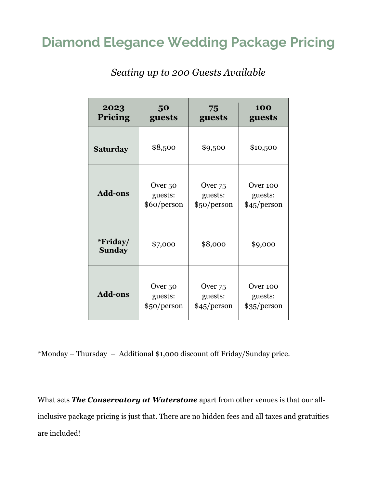## **Diamond Elegance Wedding Package Pricing**

| 2023                      | 50          | 75                 | 100         |
|---------------------------|-------------|--------------------|-------------|
| Pricing                   | guests      | guests             | guests      |
| Saturday                  | \$8,500     | \$9,500            | \$10,500    |
| <b>Add-ons</b>            | Over 50     | Over <sub>75</sub> | Over 100    |
|                           | guests:     | guests:            | guests:     |
|                           | \$60/person | \$50/person        | \$45/person |
| *Friday/<br><b>Sunday</b> | \$7,000     | \$8,000            | \$9,000     |
| <b>Add-ons</b>            | Over 50     | Over 75            | Over 100    |
|                           | guests:     | guests:            | guests:     |
|                           | \$50/person | \$45/person        | \$35/person |

*Seating up to 200 Guests Available*

\*Monday – Thursday – Additional \$1,000 discount off Friday/Sunday price.

What sets *The Conservatory at Waterstone* apart from other venues is that our allinclusive package pricing is just that. There are no hidden fees and all taxes and gratuities are included!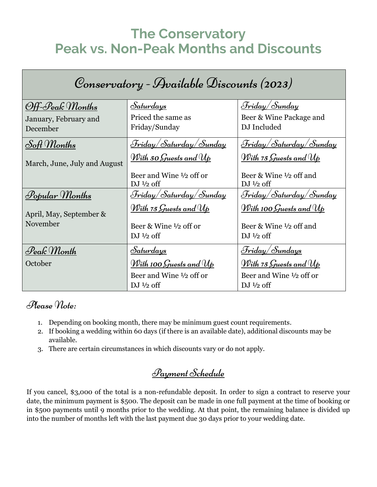## **The Conservatory Peak vs. Non-Peak Months and Discounts**

| Conservatory - Available Discounts (2023) |                                                            |                                                            |  |  |  |
|-------------------------------------------|------------------------------------------------------------|------------------------------------------------------------|--|--|--|
| Off-Peak Months                           | <u>Saturdays</u>                                           | <u> Friday/Sunday</u>                                      |  |  |  |
| January, February and<br>December         | Priced the same as<br>Friday/Sunday                        | Beer & Wine Package and<br>DJ Included                     |  |  |  |
| Soft Months                               | <u> Friday/Saturday/Sunday</u>                             | <u> Friday/Saturday/Sunday</u>                             |  |  |  |
| March, June, July and August              | <u>With 50 Guests and Up</u>                               | <u>With 75 Guests and Up</u>                               |  |  |  |
|                                           | Beer and Wine $\frac{1}{2}$ off or<br>DJ $\frac{1}{2}$ off | Beer & Wine $\frac{1}{2}$ off and<br>DJ $1/2$ off          |  |  |  |
| <u>Popular Months</u>                     | <u> Friday/Saturday/Sunday</u>                             | <u> Friday/Saturday/Sunday</u>                             |  |  |  |
| April, May, September &                   | <u>With 75 Guests and Up</u>                               | <u>With 100 Guests and Up</u>                              |  |  |  |
| November                                  | Beer & Wine $\frac{1}{2}$ off or                           | Beer & Wine 1/2 off and                                    |  |  |  |
|                                           | DJ $\frac{1}{2}$ off                                       | DJ $\frac{1}{2}$ off                                       |  |  |  |
| Peak Month                                | <u>Saturdays</u>                                           | <u> Friday/Sundays</u>                                     |  |  |  |
| October                                   | <u>With 100 Guests and <math>\mathcal{W}_{\bm}</math></u>  | <u>With 75 Guests and Up</u>                               |  |  |  |
|                                           | Beer and Wine $\frac{1}{2}$ off or<br>DJ $\frac{1}{2}$ off | Beer and Wine $\frac{1}{2}$ off or<br>DJ $\frac{1}{2}$ off |  |  |  |

### Please Note:

- 1. Depending on booking month, there may be minimum guest count requirements.
- 2. If booking a wedding within 60 days (if there is an available date), additional discounts may be available.
- 3. There are certain circumstances in which discounts vary or do not apply.

## Payment Schedule

If you cancel, \$3,000 of the total is a non-refundable deposit. In order to sign a contract to reserve your date, the minimum payment is \$500. The deposit can be made in one full payment at the time of booking or in \$500 payments until 9 months prior to the wedding. At that point, the remaining balance is divided up into the number of months left with the last payment due 30 days prior to your wedding date.